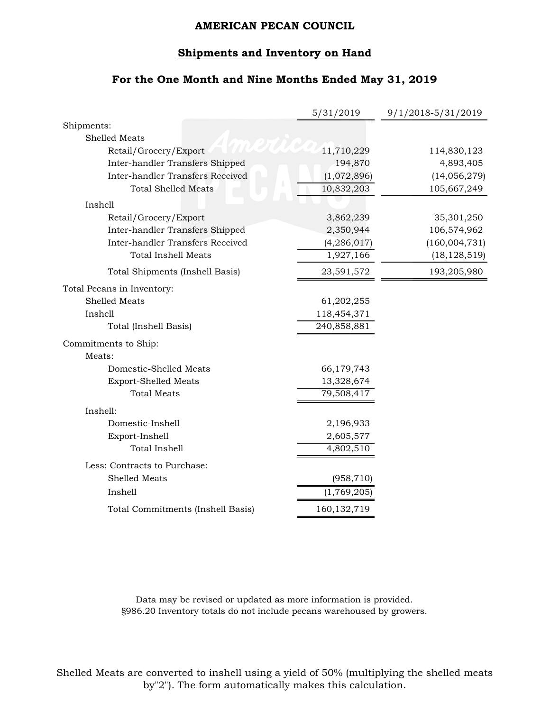#### **Shipments and Inventory on Hand**

# **For the One Month and Nine Months Ended May 31, 2019**

|                                         | 5/31/2019     | 9/1/2018-5/31/2019 |
|-----------------------------------------|---------------|--------------------|
| Shipments:                              |               |                    |
| <b>Shelled Meats</b>                    |               |                    |
| Retail/Grocery/Export                   | 11,710,229    | 114,830,123        |
| Inter-handler Transfers Shipped         | 194,870       | 4,893,405          |
| Inter-handler Transfers Received        | (1,072,896)   | (14,056,279)       |
| <b>Total Shelled Meats</b>              | 10,832,203    | 105,667,249        |
| Inshell                                 |               |                    |
| Retail/Grocery/Export                   | 3,862,239     | 35,301,250         |
| Inter-handler Transfers Shipped         | 2,350,944     | 106,574,962        |
| <b>Inter-handler Transfers Received</b> | (4, 286, 017) | (160,004,731)      |
| <b>Total Inshell Meats</b>              | 1,927,166     | (18, 128, 519)     |
| Total Shipments (Inshell Basis)         | 23,591,572    | 193,205,980        |
| Total Pecans in Inventory:              |               |                    |
| <b>Shelled Meats</b>                    | 61,202,255    |                    |
| Inshell                                 | 118,454,371   |                    |
| Total (Inshell Basis)                   | 240,858,881   |                    |
| Commitments to Ship:                    |               |                    |
| Meats:                                  |               |                    |
| Domestic-Shelled Meats                  | 66,179,743    |                    |
| <b>Export-Shelled Meats</b>             | 13,328,674    |                    |
| <b>Total Meats</b>                      | 79,508,417    |                    |
| Inshell:                                |               |                    |
| Domestic-Inshell                        | 2,196,933     |                    |
| Export-Inshell                          | 2,605,577     |                    |
| <b>Total Inshell</b>                    | 4,802,510     |                    |
| Less: Contracts to Purchase:            |               |                    |
| Shelled Meats                           | (958, 710)    |                    |
| Inshell                                 | (1,769,205)   |                    |
| Total Commitments (Inshell Basis)       | 160, 132, 719 |                    |

Data may be revised or updated as more information is provided. §986.20 Inventory totals do not include pecans warehoused by growers.

Shelled Meats are converted to inshell using a yield of 50% (multiplying the shelled meats by"2"). The form automatically makes this calculation.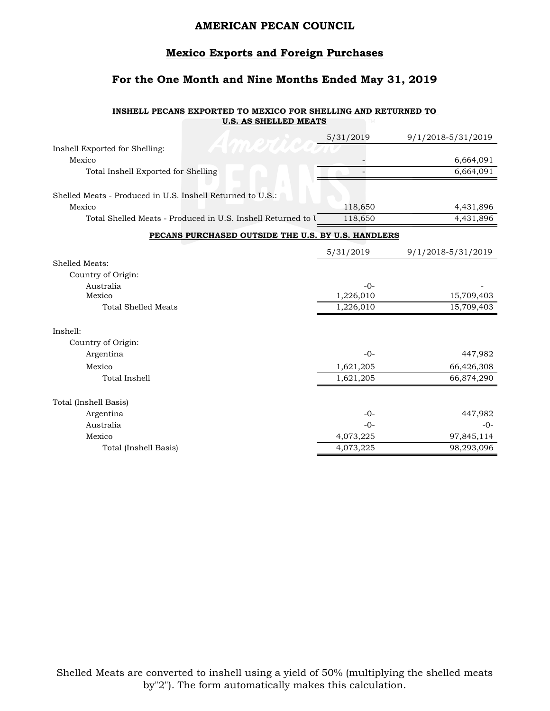# **Mexico Exports and Foreign Purchases**

# **For the One Month and Nine Months Ended May 31, 2019**

#### **INSHELL PECANS EXPORTED TO MEXICO FOR SHELLING AND RETURNED TO U.S. AS SHELLED MEATS**

|                                                              | 5/31/2019 | 9/1/2018-5/31/2019 |
|--------------------------------------------------------------|-----------|--------------------|
| Inshell Exported for Shelling:                               |           |                    |
| Mexico                                                       |           | 6,664,091          |
| Total Inshell Exported for Shelling                          |           | 6,664,091          |
|                                                              |           |                    |
| Shelled Meats - Produced in U.S. Inshell Returned to U.S.:   |           |                    |
| Mexico                                                       | 118,650   | 4,431,896          |
| Total Shelled Meats - Produced in U.S. Inshell Returned to U | 118,650   | 4,431,896          |
| PECANS PURCHASED OUTSIDE THE U.S. BY U.S. HANDLERS           |           |                    |
|                                                              | 5/31/2019 | 9/1/2018-5/31/2019 |
| Shelled Meats:                                               |           |                    |
| Country of Origin:                                           |           |                    |
| Australia                                                    | $-0-$     |                    |
| Mexico                                                       | 1,226,010 | 15,709,403         |
| <b>Total Shelled Meats</b>                                   | 1,226,010 | 15,709,403         |
| Inshell:                                                     |           |                    |
| Country of Origin:                                           |           |                    |
| Argentina                                                    | $-0-$     | 447,982            |
| Mexico                                                       | 1,621,205 | 66,426,308         |
| Total Inshell                                                | 1,621,205 | 66,874,290         |
|                                                              |           |                    |
| Total (Inshell Basis)                                        |           |                    |
| Argentina                                                    | $-0-$     | 447,982            |
| Australia                                                    | $-0-$     | $-0-$              |
| Mexico                                                       | 4,073,225 | 97,845,114         |
| Total (Inshell Basis)                                        | 4,073,225 | 98,293,096         |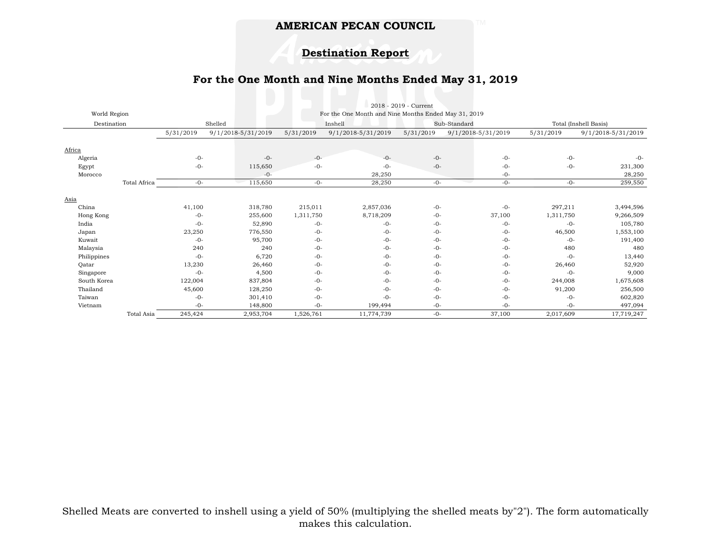### **Destination Report**

### **For the One Month and Nine Months Ended May 31, 2019**

|              |              |                                                      |                    |           |                    | 2018 - 2019 - Current |                    |                       |                    |
|--------------|--------------|------------------------------------------------------|--------------------|-----------|--------------------|-----------------------|--------------------|-----------------------|--------------------|
| World Region |              | For the One Month and Nine Months Ended May 31, 2019 |                    |           |                    |                       |                    |                       |                    |
| Destination  |              |                                                      | Shelled<br>Inshell |           |                    | Sub-Standard          |                    | Total (Inshell Basis) |                    |
|              |              | 5/31/2019                                            | 9/1/2018-5/31/2019 | 5/31/2019 | 9/1/2018-5/31/2019 | 5/31/2019             | 9/1/2018-5/31/2019 | 5/31/2019             | 9/1/2018-5/31/2019 |
|              |              |                                                      |                    |           |                    |                       |                    |                       |                    |
| Africa       |              |                                                      |                    |           |                    |                       |                    |                       |                    |
| Algeria      |              | $-0-$                                                | $-0-$              | $-0-$     | $-0-$              | $-0-$                 | $-0-$              | $-0-$                 | $-0-$              |
| Egypt        |              | $-0-$                                                | 115,650            | $-0-$     | $-0-$              | $-0-$                 | $-0-$              | $-0-$                 | 231,300            |
| Morocco      |              |                                                      | $-0-$              |           | 28,250             |                       | $-0-$              |                       | 28,250             |
|              | Total Africa | $-0-$                                                | 115,650            | $-0-$     | 28,250             | $-0-$                 | $-0-$<br>a s       | $-0-$                 | 259,550            |
|              |              |                                                      |                    |           |                    |                       |                    |                       |                    |
| Asia         |              |                                                      |                    |           |                    |                       |                    |                       |                    |
| China        |              | 41,100                                               | 318,780            | 215,011   | 2,857,036          | $-0-$                 | $-0-$              | 297,211               | 3,494,596          |
| Hong Kong    |              | $-0-$                                                | 255,600            | 1,311,750 | 8,718,209          | $-0-$                 | 37,100             | 1,311,750             | 9,266,509          |
| India        |              | $-0-$                                                | 52,890             | $-0-$     | $-0-$              | $-0-$                 | $-0-$              | $-0-$                 | 105,780            |
| Japan        |              | 23,250                                               | 776,550            | $-0-$     | $-0-$              | $-0-$                 | $-0-$              | 46,500                | 1,553,100          |
| Kuwait       |              | $-0-$                                                | 95,700             | $-0-$     | $-0-$              | $-0-$                 | $-0-$              | $-0-$                 | 191,400            |
| Malaysia     |              | 240                                                  | 240                | $-0-$     | $-0-$              | $-0-$                 | $-0-$              | 480                   | 480                |
| Philippines  |              | $-0-$                                                | 6,720              | $-0-$     | $-0-$              | $-0-$                 | $-0-$              | $-0-$                 | 13,440             |
| Qatar        |              | 13,230                                               | 26,460             | $-0-$     | $-0-$              | $-0-$                 | $-0-$              | 26,460                | 52,920             |
| Singapore    |              | $-0-$                                                | 4,500              | $-0-$     | $-0-$              | $-0-$                 | $-0-$              | $-0-$                 | 9,000              |
| South Korea  |              | 122,004                                              | 837,804            | $-0-$     | $-0-$              | $-0-$                 | $-0-$              | 244,008               | 1,675,608          |
| Thailand     |              | 45,600                                               | 128,250            | $-0-$     | $-0-$              | $-0-$                 | $-0-$              | 91,200                | 256,500            |
| Taiwan       |              | $-0-$                                                | 301,410            | $-0-$     | $-0-$              | $-0-$                 | $-0-$              | $-0-$                 | 602,820            |
| Vietnam      |              | $-0-$                                                | 148,800            | $-0-$     | 199,494            | $-0-$                 | $-0-$              | $-0-$                 | 497,094            |
|              | Total Asia   | 245,424                                              | 2,953,704          | 1,526,761 | 11,774,739         | $-0-$                 | 37,100             | 2,017,609             | 17,719,247         |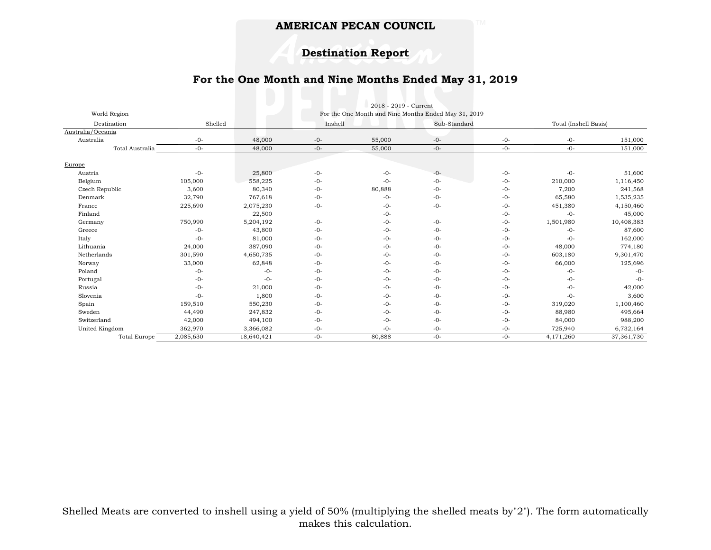### **Destination Report**

### **For the One Month and Nine Months Ended May 31, 2019**

|                     |           | e s        |         | 2018 - 2019 - Current                                |              |       |                       |            |
|---------------------|-----------|------------|---------|------------------------------------------------------|--------------|-------|-----------------------|------------|
| World Region        |           |            |         | For the One Month and Nine Months Ended May 31, 2019 |              |       |                       |            |
| Destination         | Shelled   |            | Inshell |                                                      | Sub-Standard |       | Total (Inshell Basis) |            |
| Australia/Oceania   |           |            |         |                                                      |              |       |                       |            |
| Australia           | $-0-$     | 48,000     | $-0-$   | 55,000                                               | $-0-$        | $-0-$ | $-0-$                 | 151,000    |
| Total Australia     | $-0-$     | 48,000     | $-0-$   | 55,000                                               | $-0-$        | $-0-$ | $-0-$                 | 151,000    |
|                     |           |            |         |                                                      |              |       |                       |            |
| Europe              |           |            |         |                                                      |              |       |                       |            |
| Austria             | $-0-$     | 25,800     | $-0-$   | $-0-$                                                | $-0-$        | $-0-$ | $-0-$                 | 51,600     |
| Belgium             | 105,000   | 558,225    | $-0-$   | $-0-$                                                | $-0-$        | $-0-$ | 210,000               | 1,116,450  |
| Czech Republic      | 3,600     | 80,340     | $-0-$   | 80,888                                               | $-0-$        | $-0-$ | 7,200                 | 241,568    |
| Denmark             | 32,790    | 767,618    | $-0-$   | $-0-$                                                | $-0-$        | $-0-$ | 65,580                | 1,535,235  |
| France              | 225,690   | 2,075,230  | $-0-$   | $-0-$                                                | $-0-$        | $-0-$ | 451,380               | 4,150,460  |
| Finland             |           | 22,500     |         | $-0-$                                                |              | $-0-$ | $-0-$                 | 45,000     |
| Germany             | 750,990   | 5,204,192  | $-0-$   | $-0-$                                                | $-0-$        | $-0-$ | 1,501,980             | 10,408,383 |
| Greece              | $-0-$     | 43,800     | $-0-$   | $-0-$                                                | $-0-$        | $-0-$ | $-0-$                 | 87,600     |
| Italy               | $-0-$     | 81,000     | $-0-$   | $-0-$                                                | $-0-$        | $-0-$ | $-0-$                 | 162,000    |
| Lithuania           | 24,000    | 387,090    | $-0-$   | $-0-$                                                | $-0-$        | $-0-$ | 48,000                | 774,180    |
| Netherlands         | 301,590   | 4,650,735  | $-0-$   | $-0-$                                                | $-0-$        | $-0-$ | 603,180               | 9,301,470  |
| Norway              | 33,000    | 62,848     | $-0-$   | $-0-$                                                | $-0-$        | $-0-$ | 66,000                | 125,696    |
| Poland              | $-0-$     | $-0-$      | $-0-$   | $-0-$                                                | $-0-$        | $-0-$ | $-0-$                 | $-0-$      |
| Portugal            | $-0-$     | $-0-$      | $-0-$   | $-0-$                                                | $-0-$        | $-0-$ | $-0-$                 | $-0-$      |
| Russia              | $-0-$     | 21,000     | $-0-$   | $-0-$                                                | $-0-$        | $-0-$ | $-0-$                 | 42,000     |
| Slovenia            | $-0-$     | 1,800      | $-0-$   | $-0-$                                                | $-0-$        | $-0-$ | $-0-$                 | 3,600      |
| Spain               | 159,510   | 550,230    | $-0-$   | $-0-$                                                | $-0-$        | $-0-$ | 319,020               | 1,100,460  |
| Sweden              | 44,490    | 247,832    | $-0-$   | $-0-$                                                | $-0-$        | $-0-$ | 88,980                | 495,664    |
| Switzerland         | 42,000    | 494,100    | $-0-$   | $-0-$                                                | $-0-$        | $-0-$ | 84,000                | 988,200    |
| United Kingdom      | 362,970   | 3,366,082  | $-0-$   | $-0-$                                                | $-0-$        | $-0-$ | 725,940               | 6,732,164  |
| <b>Total Europe</b> | 2,085,630 | 18,640,421 | $-0-$   | 80,888                                               | $-0-$        | $-0-$ | 4,171,260             | 37,361,730 |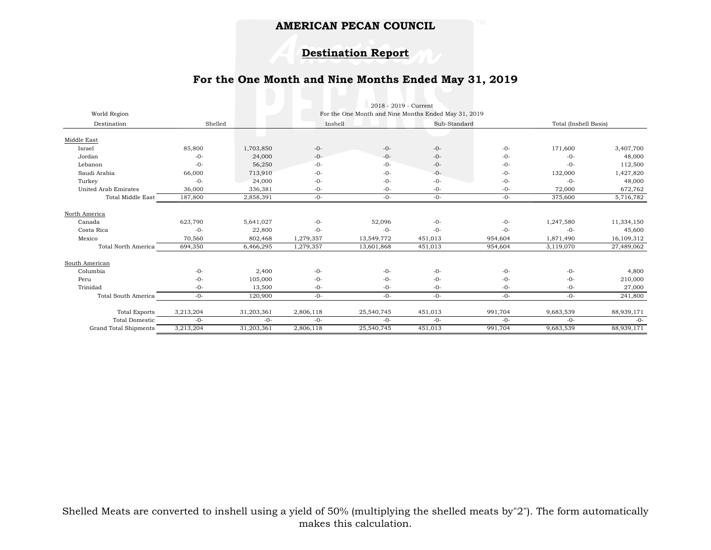### **Destination Report**

### **For the One Month and Nine Months Ended May 31, 2019**

|                                        |           |            |                                                                 | 2018 - 2019 - Current |         |              |           |                       |  |
|----------------------------------------|-----------|------------|-----------------------------------------------------------------|-----------------------|---------|--------------|-----------|-----------------------|--|
| World Region<br>Shelled<br>Destination |           |            | For the One Month and Nine Months Ended May 31, 2019<br>Inshell |                       |         | Sub-Standard |           | Total (Inshell Basis) |  |
|                                        |           |            |                                                                 |                       |         |              |           |                       |  |
| Middle East                            |           |            |                                                                 |                       |         |              |           |                       |  |
| Israel                                 | 85,800    | 1,703,850  | $-0-$                                                           | $-0-$                 | $-0-$   | $-0-$        | 171,600   | 3,407,700             |  |
| Jordan                                 | $-0-$     | 24,000     | $-0-$                                                           | $-0-$                 | $-0-$   | $-0-$        | $-0-$     | 48,000                |  |
| Lebanon                                | $-0-$     | 56,250     | $-0-$                                                           | $-0-$                 | $-0-$   | $-0-$        | $-0-$     | 112,500               |  |
| Saudi Arabia                           | 66,000    | 713,910    | $-0-$                                                           | $-0-$                 | $-0-$   | $-0-$        | 132,000   | 1,427,820             |  |
| Turkey                                 | $-0-$     | 24,000     | $-0-$                                                           | $-0-$                 | $-0-$   | $-0-$        | $-0-$     | 48,000                |  |
| United Arab Emirates                   | 36,000    | 336,381    | $-0-$                                                           | $-0-$                 | $-0-$   | $-0-$        | 72,000    | 672,762               |  |
| <b>Total Middle East</b>               | 187,800   | 2,858,391  | $-0-$                                                           | $-0-$                 | $-0-$   | $-0-$        | 375,600   | 5,716,782             |  |
| North America                          |           |            |                                                                 |                       |         |              |           |                       |  |
| Canada                                 | 623,790   | 5,641,027  | $-0-$                                                           | 52,096                | $-0-$   | $-0-$        | 1,247,580 | 11,334,150            |  |
| Costa Rica                             | $-0-$     | 22,800     | $-0-$                                                           | $-0-$                 | $-0-$   | $-0-$        | $-0-$     | 45,600                |  |
| Mexico                                 | 70,560    | 802,468    | 1,279,357                                                       | 13,549,772            | 451,013 | 954,604      | 1,871,490 | 16,109,312            |  |
| <b>Total North America</b>             | 694,350   | 6,466,295  | 1,279,357                                                       | 13,601,868            | 451,013 | 954,604      | 3,119,070 | 27,489,062            |  |
| South American                         |           |            |                                                                 |                       |         |              |           |                       |  |
| Columbia                               | $-0-$     | 2,400      | $-0-$                                                           | $-0-$                 | $-0-$   | $-0-$        | $-0-$     | 4,800                 |  |
| Peru                                   | $-0-$     | 105,000    | $-0-$                                                           | $-0-$                 | $-0-$   | $-()$ -      | $-0-$     | 210,000               |  |
| Trinidad                               | $-0-$     | 13,500     | $-0-$                                                           | $-0-$                 | $-0-$   | $-0-$        | $-0-$     | 27,000                |  |
| Total South America                    | $-0-$     | 120,900    | $-0-$                                                           | $-0-$                 | $-0-$   | $-0-$        | $-0-$     | 241,800               |  |
| <b>Total Exports</b>                   | 3,213,204 | 31,203,361 | 2,806,118                                                       | 25,540,745            | 451,013 | 991,704      | 9,683,539 | 88,939,171            |  |
| <b>Total Domestic</b>                  | $-0-$     | $-0-$      | $-0-$                                                           | $-0-$                 | $-0-$   | $-0-$        | $-0-$     | $-0-$                 |  |
| Grand Total Shipments                  | 3,213,204 | 31,203,361 | 2,806,118                                                       | 25,540,745            | 451,013 | 991,704      | 9,683,539 | 88,939,171            |  |